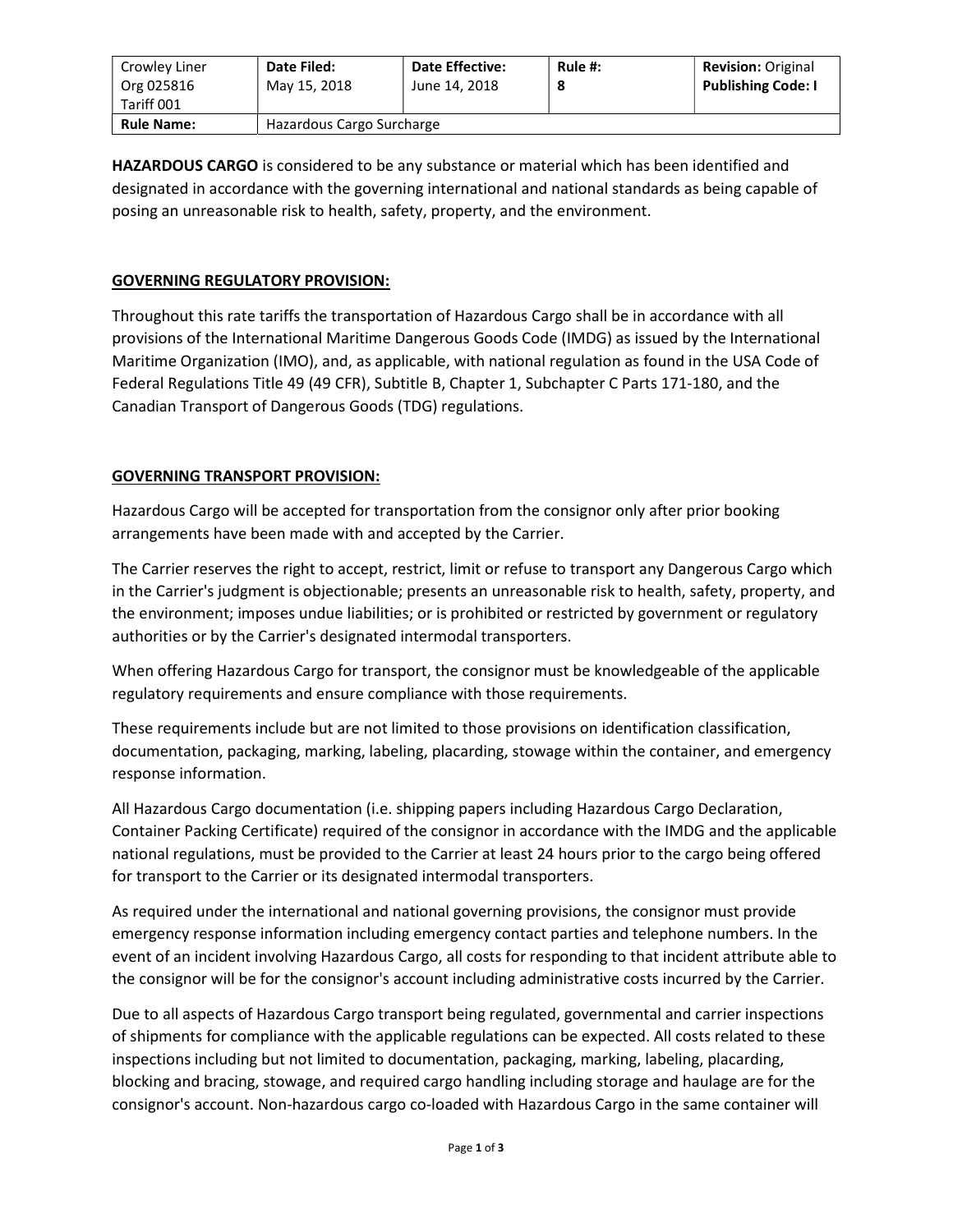| Crowley Liner<br>Org 025816<br>Tariff 001 | Date Filed:<br>May 15, 2018 | <b>Date Effective:</b><br>June 14, 2018 | Rule #:<br>8 | <b>Revision: Original</b><br><b>Publishing Code: I</b> |
|-------------------------------------------|-----------------------------|-----------------------------------------|--------------|--------------------------------------------------------|
| <b>Rule Name:</b>                         | Hazardous Cargo Surcharge   |                                         |              |                                                        |

HAZARDOUS CARGO is considered to be any substance or material which has been identified and designated in accordance with the governing international and national standards as being capable of posing an unreasonable risk to health, safety, property, and the environment.

## GOVERNING REGULATORY PROVISION:

Throughout this rate tariffs the transportation of Hazardous Cargo shall be in accordance with all provisions of the International Maritime Dangerous Goods Code (IMDG) as issued by the International Maritime Organization (IMO), and, as applicable, with national regulation as found in the USA Code of Federal Regulations Title 49 (49 CFR), Subtitle B, Chapter 1, Subchapter C Parts 171-180, and the Canadian Transport of Dangerous Goods (TDG) regulations.

## GOVERNING TRANSPORT PROVISION:

Hazardous Cargo will be accepted for transportation from the consignor only after prior booking arrangements have been made with and accepted by the Carrier.

The Carrier reserves the right to accept, restrict, limit or refuse to transport any Dangerous Cargo which in the Carrier's judgment is objectionable; presents an unreasonable risk to health, safety, property, and the environment; imposes undue liabilities; or is prohibited or restricted by government or regulatory authorities or by the Carrier's designated intermodal transporters.

When offering Hazardous Cargo for transport, the consignor must be knowledgeable of the applicable regulatory requirements and ensure compliance with those requirements.

These requirements include but are not limited to those provisions on identification classification, documentation, packaging, marking, labeling, placarding, stowage within the container, and emergency response information.

All Hazardous Cargo documentation (i.e. shipping papers including Hazardous Cargo Declaration, Container Packing Certificate) required of the consignor in accordance with the IMDG and the applicable national regulations, must be provided to the Carrier at least 24 hours prior to the cargo being offered for transport to the Carrier or its designated intermodal transporters.

As required under the international and national governing provisions, the consignor must provide emergency response information including emergency contact parties and telephone numbers. In the event of an incident involving Hazardous Cargo, all costs for responding to that incident attribute able to the consignor will be for the consignor's account including administrative costs incurred by the Carrier.

Due to all aspects of Hazardous Cargo transport being regulated, governmental and carrier inspections of shipments for compliance with the applicable regulations can be expected. All costs related to these inspections including but not limited to documentation, packaging, marking, labeling, placarding, blocking and bracing, stowage, and required cargo handling including storage and haulage are for the consignor's account. Non-hazardous cargo co-loaded with Hazardous Cargo in the same container will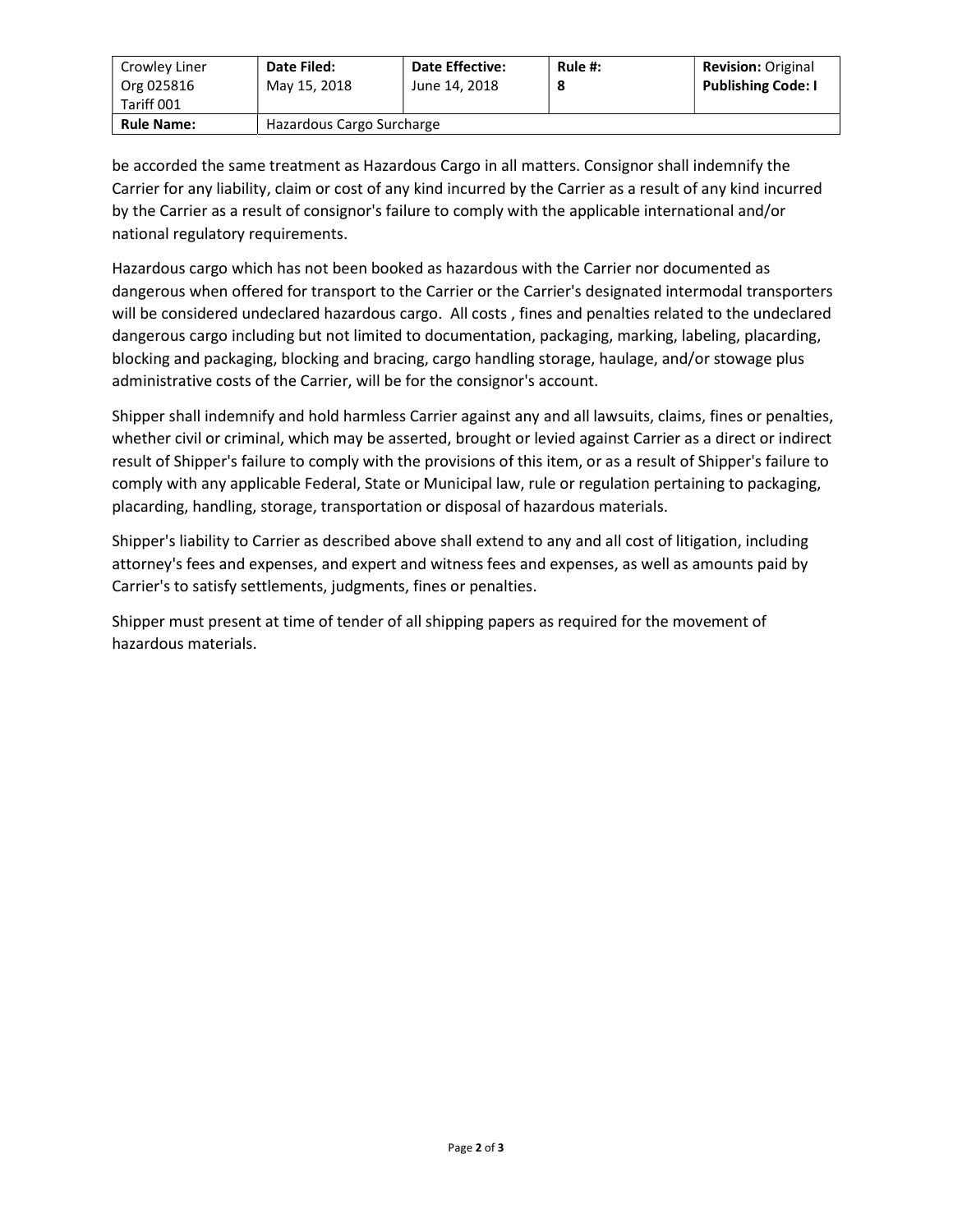| Crowley Liner<br>Org 025816<br>Tariff 001 | Date Filed:<br>May 15, 2018 | <b>Date Effective:</b><br>June 14, 2018 | Rule #:<br>8 | <b>Revision: Original</b><br><b>Publishing Code: I</b> |
|-------------------------------------------|-----------------------------|-----------------------------------------|--------------|--------------------------------------------------------|
| <b>Rule Name:</b>                         | Hazardous Cargo Surcharge   |                                         |              |                                                        |

be accorded the same treatment as Hazardous Cargo in all matters. Consignor shall indemnify the Carrier for any liability, claim or cost of any kind incurred by the Carrier as a result of any kind incurred by the Carrier as a result of consignor's failure to comply with the applicable international and/or national regulatory requirements.

Hazardous cargo which has not been booked as hazardous with the Carrier nor documented as dangerous when offered for transport to the Carrier or the Carrier's designated intermodal transporters will be considered undeclared hazardous cargo. All costs , fines and penalties related to the undeclared dangerous cargo including but not limited to documentation, packaging, marking, labeling, placarding, blocking and packaging, blocking and bracing, cargo handling storage, haulage, and/or stowage plus administrative costs of the Carrier, will be for the consignor's account.

Shipper shall indemnify and hold harmless Carrier against any and all lawsuits, claims, fines or penalties, whether civil or criminal, which may be asserted, brought or levied against Carrier as a direct or indirect result of Shipper's failure to comply with the provisions of this item, or as a result of Shipper's failure to comply with any applicable Federal, State or Municipal law, rule or regulation pertaining to packaging, placarding, handling, storage, transportation or disposal of hazardous materials.

Shipper's liability to Carrier as described above shall extend to any and all cost of litigation, including attorney's fees and expenses, and expert and witness fees and expenses, as well as amounts paid by Carrier's to satisfy settlements, judgments, fines or penalties.

Shipper must present at time of tender of all shipping papers as required for the movement of hazardous materials.